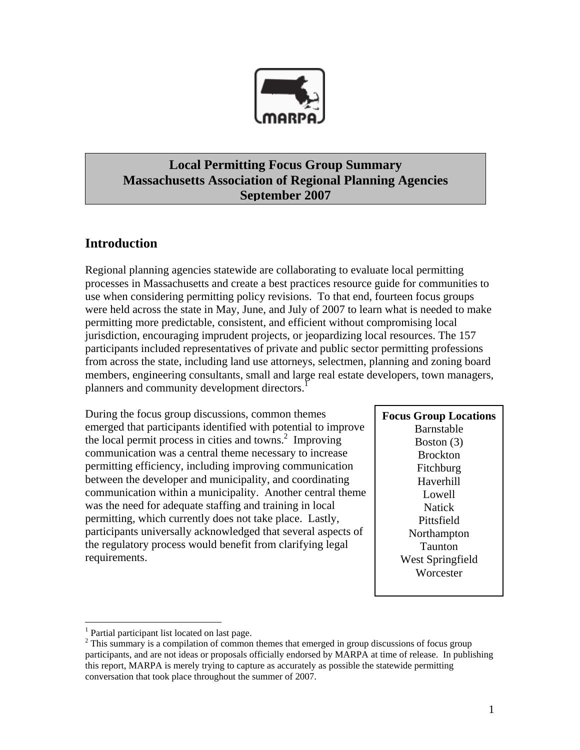

# **Local Permitting Focus Group Summary Massachusetts Association of Regional Planning Agencies September 2007**

# **Introduction**

Regional planning agencies statewide are collaborating to evaluate local permitting processes in Massachusetts and create a best practices resource guide for communities to use when considering permitting policy revisions. To that end, fourteen focus groups were held across the state in May, June, and July of 2007 to learn what is needed to make permitting more predictable, consistent, and efficient without compromising local jurisdiction, encouraging imprudent projects, or jeopardizing local resources. The 157 participants included representatives of private and public sector permitting professions from across the state, including land use attorneys, selectmen, planning and zoning board members, engineering consultants, small and large real estate developers, town managers, planners and community development directors.<sup>1</sup>

During the focus group discussions, common themes emerged that participants identified with potential to improve the local permit process in cities and towns.<sup>2</sup> Improving communication was a central theme necessary to increase permitting efficiency, including improving communication between the developer and municipality, and coordinating communication within a municipality. Another central theme was the need for adequate staffing and training in local permitting, which currently does not take place. Lastly, participants universally acknowledged that several aspects of the regulatory process would benefit from clarifying legal requirements.

# **Focus Group Locations** Barnstable Boston (3) Brockton Fitchburg Haverhill Lowell Natick Pittsfield Northampton Taunton West Springfield **Worcester**

 $\overline{a}$ 

<sup>&</sup>lt;sup>1</sup> Partial participant list located on last page.

 $2$  This summary is a compilation of common themes that emerged in group discussions of focus group participants, and are not ideas or proposals officially endorsed by MARPA at time of release. In publishing this report, MARPA is merely trying to capture as accurately as possible the statewide permitting conversation that took place throughout the summer of 2007.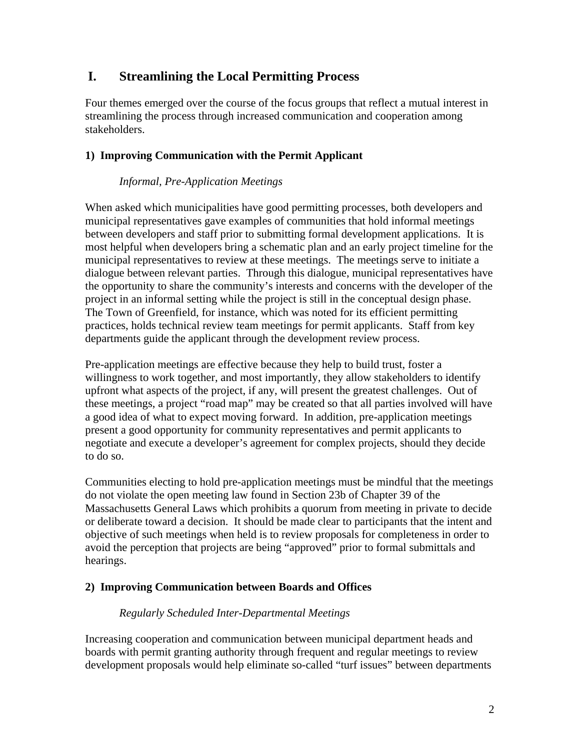# **I. Streamlining the Local Permitting Process**

Four themes emerged over the course of the focus groups that reflect a mutual interest in streamlining the process through increased communication and cooperation among stakeholders.

# **1) Improving Communication with the Permit Applicant**

# *Informal, Pre-Application Meetings*

When asked which municipalities have good permitting processes, both developers and municipal representatives gave examples of communities that hold informal meetings between developers and staff prior to submitting formal development applications. It is most helpful when developers bring a schematic plan and an early project timeline for the municipal representatives to review at these meetings. The meetings serve to initiate a dialogue between relevant parties. Through this dialogue, municipal representatives have the opportunity to share the community's interests and concerns with the developer of the project in an informal setting while the project is still in the conceptual design phase. The Town of Greenfield, for instance, which was noted for its efficient permitting practices, holds technical review team meetings for permit applicants. Staff from key departments guide the applicant through the development review process.

Pre-application meetings are effective because they help to build trust, foster a willingness to work together, and most importantly, they allow stakeholders to identify upfront what aspects of the project, if any, will present the greatest challenges. Out of these meetings, a project "road map" may be created so that all parties involved will have a good idea of what to expect moving forward. In addition, pre-application meetings present a good opportunity for community representatives and permit applicants to negotiate and execute a developer's agreement for complex projects, should they decide to do so.

Communities electing to hold pre-application meetings must be mindful that the meetings do not violate the open meeting law found in Section 23b of Chapter 39 of the Massachusetts General Laws which prohibits a quorum from meeting in private to decide or deliberate toward a decision. It should be made clear to participants that the intent and objective of such meetings when held is to review proposals for completeness in order to avoid the perception that projects are being "approved" prior to formal submittals and hearings.

# **2) Improving Communication between Boards and Offices**

# *Regularly Scheduled Inter-Departmental Meetings*

Increasing cooperation and communication between municipal department heads and boards with permit granting authority through frequent and regular meetings to review development proposals would help eliminate so-called "turf issues" between departments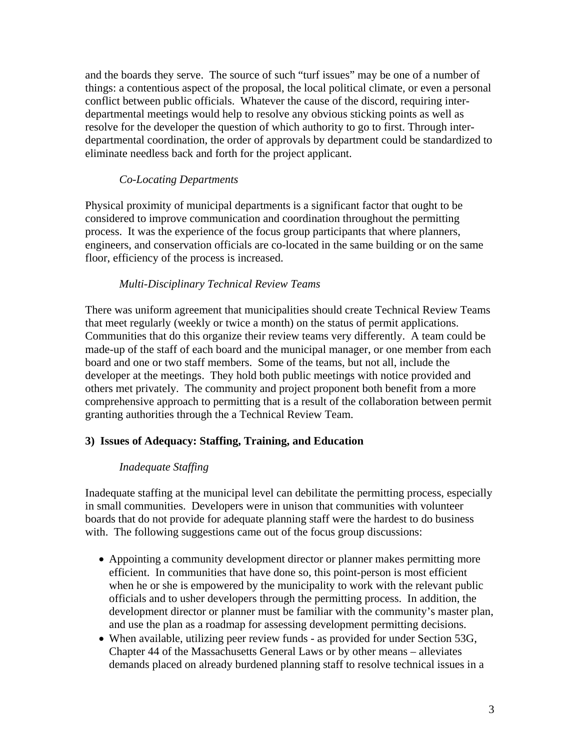and the boards they serve. The source of such "turf issues" may be one of a number of things: a contentious aspect of the proposal, the local political climate, or even a personal conflict between public officials. Whatever the cause of the discord, requiring interdepartmental meetings would help to resolve any obvious sticking points as well as resolve for the developer the question of which authority to go to first. Through interdepartmental coordination, the order of approvals by department could be standardized to eliminate needless back and forth for the project applicant.

#### *Co-Locating Departments*

Physical proximity of municipal departments is a significant factor that ought to be considered to improve communication and coordination throughout the permitting process. It was the experience of the focus group participants that where planners, engineers, and conservation officials are co-located in the same building or on the same floor, efficiency of the process is increased.

#### *Multi-Disciplinary Technical Review Teams*

There was uniform agreement that municipalities should create Technical Review Teams that meet regularly (weekly or twice a month) on the status of permit applications. Communities that do this organize their review teams very differently. A team could be made-up of the staff of each board and the municipal manager, or one member from each board and one or two staff members. Some of the teams, but not all, include the developer at the meetings. They hold both public meetings with notice provided and others met privately. The community and project proponent both benefit from a more comprehensive approach to permitting that is a result of the collaboration between permit granting authorities through the a Technical Review Team.

# **3) Issues of Adequacy: Staffing, Training, and Education**

# *Inadequate Staffing*

Inadequate staffing at the municipal level can debilitate the permitting process, especially in small communities. Developers were in unison that communities with volunteer boards that do not provide for adequate planning staff were the hardest to do business with. The following suggestions came out of the focus group discussions:

- Appointing a community development director or planner makes permitting more efficient. In communities that have done so, this point-person is most efficient when he or she is empowered by the municipality to work with the relevant public officials and to usher developers through the permitting process. In addition, the development director or planner must be familiar with the community's master plan, and use the plan as a roadmap for assessing development permitting decisions.
- When available, utilizing peer review funds as provided for under Section 53G, Chapter 44 of the Massachusetts General Laws or by other means – alleviates demands placed on already burdened planning staff to resolve technical issues in a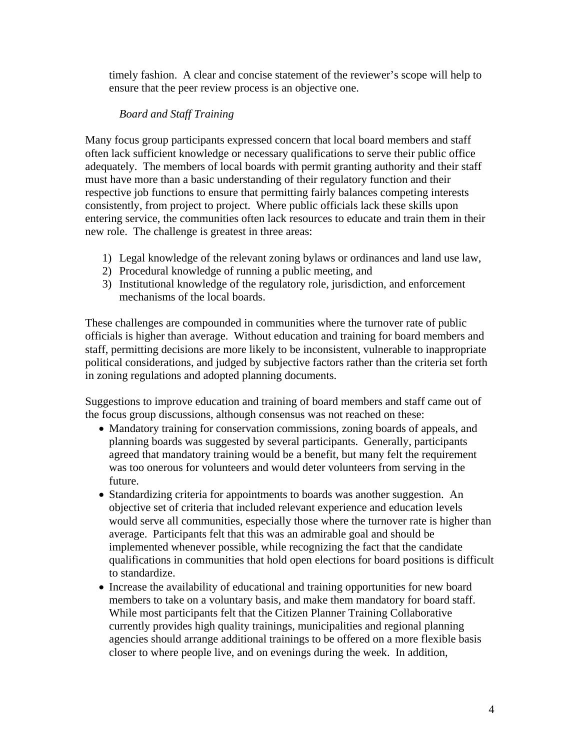timely fashion. A clear and concise statement of the reviewer's scope will help to ensure that the peer review process is an objective one.

### *Board and Staff Training*

Many focus group participants expressed concern that local board members and staff often lack sufficient knowledge or necessary qualifications to serve their public office adequately. The members of local boards with permit granting authority and their staff must have more than a basic understanding of their regulatory function and their respective job functions to ensure that permitting fairly balances competing interests consistently, from project to project. Where public officials lack these skills upon entering service, the communities often lack resources to educate and train them in their new role. The challenge is greatest in three areas:

- 1) Legal knowledge of the relevant zoning bylaws or ordinances and land use law,
- 2) Procedural knowledge of running a public meeting, and
- 3) Institutional knowledge of the regulatory role, jurisdiction, and enforcement mechanisms of the local boards.

These challenges are compounded in communities where the turnover rate of public officials is higher than average. Without education and training for board members and staff, permitting decisions are more likely to be inconsistent, vulnerable to inappropriate political considerations, and judged by subjective factors rather than the criteria set forth in zoning regulations and adopted planning documents.

Suggestions to improve education and training of board members and staff came out of the focus group discussions, although consensus was not reached on these:

- Mandatory training for conservation commissions, zoning boards of appeals, and planning boards was suggested by several participants. Generally, participants agreed that mandatory training would be a benefit, but many felt the requirement was too onerous for volunteers and would deter volunteers from serving in the future.
- Standardizing criteria for appointments to boards was another suggestion. An objective set of criteria that included relevant experience and education levels would serve all communities, especially those where the turnover rate is higher than average. Participants felt that this was an admirable goal and should be implemented whenever possible, while recognizing the fact that the candidate qualifications in communities that hold open elections for board positions is difficult to standardize.
- Increase the availability of educational and training opportunities for new board members to take on a voluntary basis, and make them mandatory for board staff. While most participants felt that the Citizen Planner Training Collaborative currently provides high quality trainings, municipalities and regional planning agencies should arrange additional trainings to be offered on a more flexible basis closer to where people live, and on evenings during the week. In addition,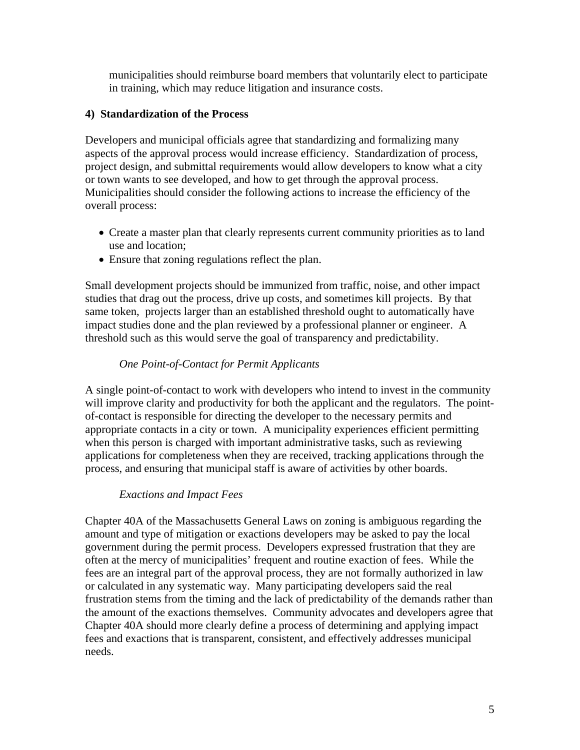municipalities should reimburse board members that voluntarily elect to participate in training, which may reduce litigation and insurance costs.

# **4) Standardization of the Process**

Developers and municipal officials agree that standardizing and formalizing many aspects of the approval process would increase efficiency. Standardization of process, project design, and submittal requirements would allow developers to know what a city or town wants to see developed, and how to get through the approval process. Municipalities should consider the following actions to increase the efficiency of the overall process:

- Create a master plan that clearly represents current community priorities as to land use and location;
- Ensure that zoning regulations reflect the plan.

Small development projects should be immunized from traffic, noise, and other impact studies that drag out the process, drive up costs, and sometimes kill projects. By that same token, projects larger than an established threshold ought to automatically have impact studies done and the plan reviewed by a professional planner or engineer. A threshold such as this would serve the goal of transparency and predictability.

# *One Point-of-Contact for Permit Applicants*

A single point-of-contact to work with developers who intend to invest in the community will improve clarity and productivity for both the applicant and the regulators. The pointof-contact is responsible for directing the developer to the necessary permits and appropriate contacts in a city or town. A municipality experiences efficient permitting when this person is charged with important administrative tasks, such as reviewing applications for completeness when they are received, tracking applications through the process, and ensuring that municipal staff is aware of activities by other boards.

# *Exactions and Impact Fees*

Chapter 40A of the Massachusetts General Laws on zoning is ambiguous regarding the amount and type of mitigation or exactions developers may be asked to pay the local government during the permit process. Developers expressed frustration that they are often at the mercy of municipalities' frequent and routine exaction of fees. While the fees are an integral part of the approval process, they are not formally authorized in law or calculated in any systematic way.Many participating developers said the real frustration stems from the timing and the lack of predictability of the demands rather than the amount of the exactions themselves. Community advocates and developers agree that Chapter 40A should more clearly define a process of determining and applying impact fees and exactions that is transparent, consistent, and effectively addresses municipal needs.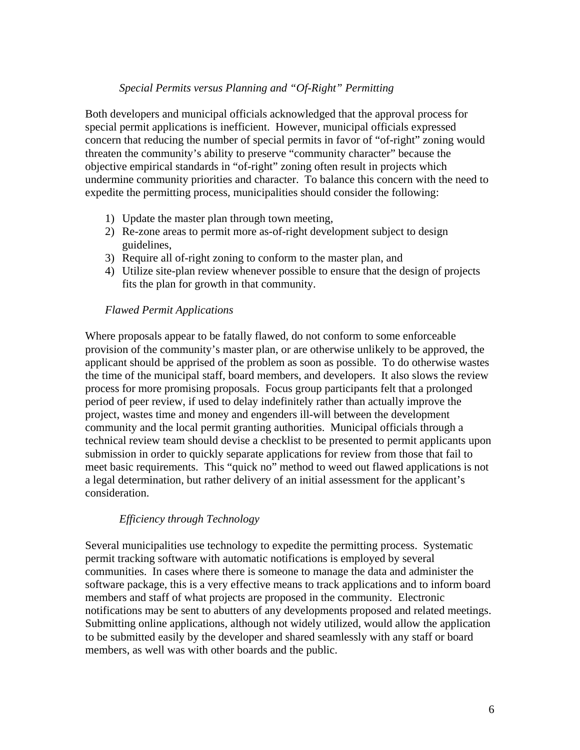#### *Special Permits versus Planning and "Of-Right" Permitting*

Both developers and municipal officials acknowledged that the approval process for special permit applications is inefficient. However, municipal officials expressed concern that reducing the number of special permits in favor of "of-right" zoning would threaten the community's ability to preserve "community character" because the objective empirical standards in "of-right" zoning often result in projects which undermine community priorities and character. To balance this concern with the need to expedite the permitting process, municipalities should consider the following:

- 1) Update the master plan through town meeting,
- 2) Re-zone areas to permit more as-of-right development subject to design guidelines,
- 3) Require all of-right zoning to conform to the master plan, and
- 4) Utilize site-plan review whenever possible to ensure that the design of projects fits the plan for growth in that community.

#### *Flawed Permit Applications*

Where proposals appear to be fatally flawed, do not conform to some enforceable provision of the community's master plan, or are otherwise unlikely to be approved, the applicant should be apprised of the problem as soon as possible. To do otherwise wastes the time of the municipal staff, board members, and developers. It also slows the review process for more promising proposals. Focus group participants felt that a prolonged period of peer review, if used to delay indefinitely rather than actually improve the project, wastes time and money and engenders ill-will between the development community and the local permit granting authorities. Municipal officials through a technical review team should devise a checklist to be presented to permit applicants upon submission in order to quickly separate applications for review from those that fail to meet basic requirements. This "quick no" method to weed out flawed applications is not a legal determination, but rather delivery of an initial assessment for the applicant's consideration.

#### *Efficiency through Technology*

Several municipalities use technology to expedite the permitting process. Systematic permit tracking software with automatic notifications is employed by several communities. In cases where there is someone to manage the data and administer the software package, this is a very effective means to track applications and to inform board members and staff of what projects are proposed in the community. Electronic notifications may be sent to abutters of any developments proposed and related meetings. Submitting online applications, although not widely utilized, would allow the application to be submitted easily by the developer and shared seamlessly with any staff or board members, as well was with other boards and the public.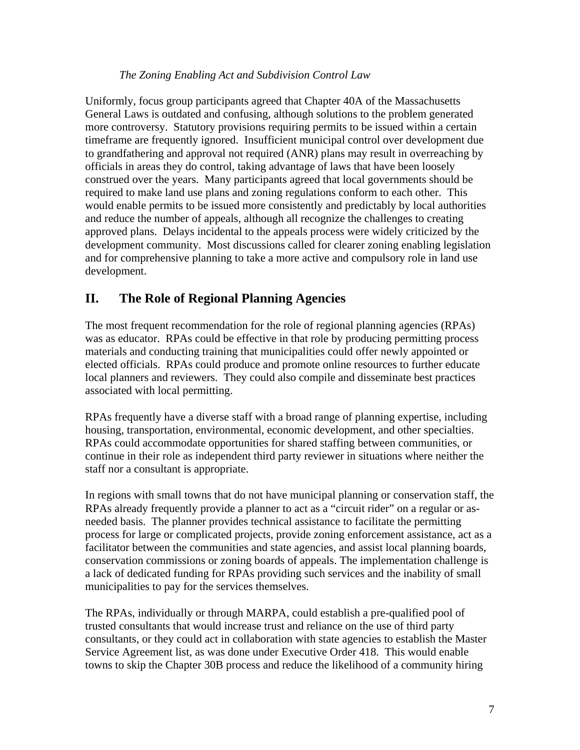### *The Zoning Enabling Act and Subdivision Control Law*

Uniformly, focus group participants agreed that Chapter 40A of the Massachusetts General Laws is outdated and confusing, although solutions to the problem generated more controversy. Statutory provisions requiring permits to be issued within a certain timeframe are frequently ignored. Insufficient municipal control over development due to grandfathering and approval not required (ANR) plans may result in overreaching by officials in areas they do control, taking advantage of laws that have been loosely construed over the years. Many participants agreed that local governments should be required to make land use plans and zoning regulations conform to each other. This would enable permits to be issued more consistently and predictably by local authorities and reduce the number of appeals, although all recognize the challenges to creating approved plans. Delays incidental to the appeals process were widely criticized by the development community. Most discussions called for clearer zoning enabling legislation and for comprehensive planning to take a more active and compulsory role in land use development.

# **II. The Role of Regional Planning Agencies**

The most frequent recommendation for the role of regional planning agencies (RPAs) was as educator. RPAs could be effective in that role by producing permitting process materials and conducting training that municipalities could offer newly appointed or elected officials. RPAs could produce and promote online resources to further educate local planners and reviewers. They could also compile and disseminate best practices associated with local permitting.

RPAs frequently have a diverse staff with a broad range of planning expertise, including housing, transportation, environmental, economic development, and other specialties. RPAs could accommodate opportunities for shared staffing between communities, or continue in their role as independent third party reviewer in situations where neither the staff nor a consultant is appropriate.

In regions with small towns that do not have municipal planning or conservation staff, the RPAs already frequently provide a planner to act as a "circuit rider" on a regular or asneeded basis. The planner provides technical assistance to facilitate the permitting process for large or complicated projects, provide zoning enforcement assistance, act as a facilitator between the communities and state agencies, and assist local planning boards, conservation commissions or zoning boards of appeals. The implementation challenge is a lack of dedicated funding for RPAs providing such services and the inability of small municipalities to pay for the services themselves.

The RPAs, individually or through MARPA, could establish a pre-qualified pool of trusted consultants that would increase trust and reliance on the use of third party consultants, or they could act in collaboration with state agencies to establish the Master Service Agreement list, as was done under Executive Order 418. This would enable towns to skip the Chapter 30B process and reduce the likelihood of a community hiring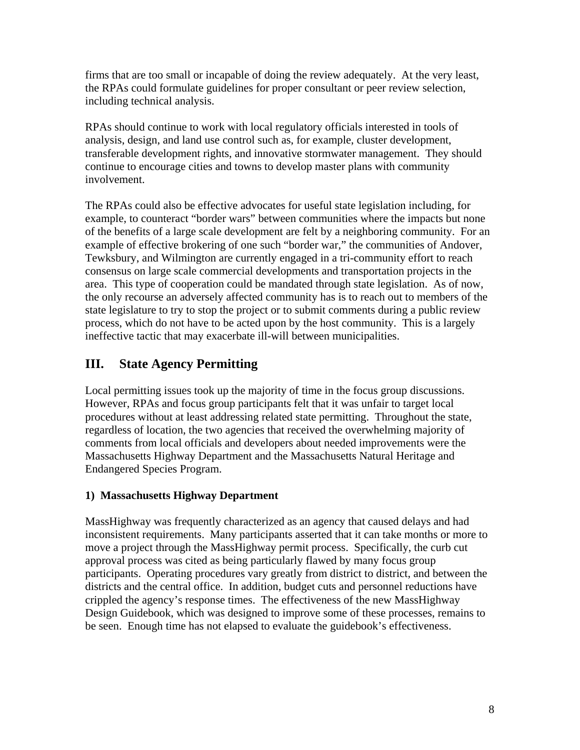firms that are too small or incapable of doing the review adequately. At the very least, the RPAs could formulate guidelines for proper consultant or peer review selection, including technical analysis.

RPAs should continue to work with local regulatory officials interested in tools of analysis, design, and land use control such as, for example, cluster development, transferable development rights, and innovative stormwater management. They should continue to encourage cities and towns to develop master plans with community involvement.

The RPAs could also be effective advocates for useful state legislation including, for example, to counteract "border wars" between communities where the impacts but none of the benefits of a large scale development are felt by a neighboring community. For an example of effective brokering of one such "border war," the communities of Andover, Tewksbury, and Wilmington are currently engaged in a tri-community effort to reach consensus on large scale commercial developments and transportation projects in the area. This type of cooperation could be mandated through state legislation. As of now, the only recourse an adversely affected community has is to reach out to members of the state legislature to try to stop the project or to submit comments during a public review process, which do not have to be acted upon by the host community. This is a largely ineffective tactic that may exacerbate ill-will between municipalities.

# **III. State Agency Permitting**

Local permitting issues took up the majority of time in the focus group discussions. However, RPAs and focus group participants felt that it was unfair to target local procedures without at least addressing related state permitting. Throughout the state, regardless of location, the two agencies that received the overwhelming majority of comments from local officials and developers about needed improvements were the Massachusetts Highway Department and the Massachusetts Natural Heritage and Endangered Species Program.

# **1) Massachusetts Highway Department**

MassHighway was frequently characterized as an agency that caused delays and had inconsistent requirements. Many participants asserted that it can take months or more to move a project through the MassHighway permit process. Specifically, the curb cut approval process was cited as being particularly flawed by many focus group participants. Operating procedures vary greatly from district to district, and between the districts and the central office. In addition, budget cuts and personnel reductions have crippled the agency's response times. The effectiveness of the new MassHighway Design Guidebook, which was designed to improve some of these processes, remains to be seen. Enough time has not elapsed to evaluate the guidebook's effectiveness.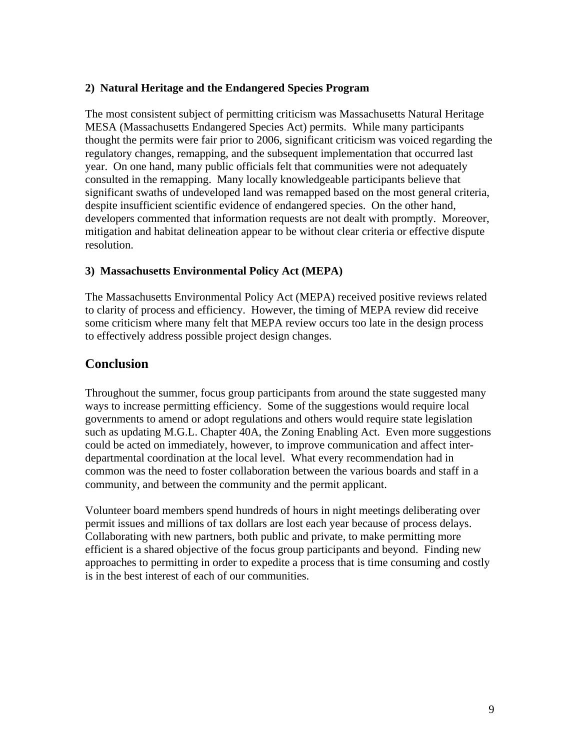### **2) Natural Heritage and the Endangered Species Program**

The most consistent subject of permitting criticism was Massachusetts Natural Heritage MESA (Massachusetts Endangered Species Act) permits. While many participants thought the permits were fair prior to 2006, significant criticism was voiced regarding the regulatory changes, remapping, and the subsequent implementation that occurred last year. On one hand, many public officials felt that communities were not adequately consulted in the remapping. Many locally knowledgeable participants believe that significant swaths of undeveloped land was remapped based on the most general criteria, despite insufficient scientific evidence of endangered species. On the other hand, developers commented that information requests are not dealt with promptly. Moreover, mitigation and habitat delineation appear to be without clear criteria or effective dispute resolution.

# **3) Massachusetts Environmental Policy Act (MEPA)**

The Massachusetts Environmental Policy Act (MEPA) received positive reviews related to clarity of process and efficiency. However, the timing of MEPA review did receive some criticism where many felt that MEPA review occurs too late in the design process to effectively address possible project design changes.

# **Conclusion**

Throughout the summer, focus group participants from around the state suggested many ways to increase permitting efficiency. Some of the suggestions would require local governments to amend or adopt regulations and others would require state legislation such as updating M.G.L. Chapter 40A, the Zoning Enabling Act. Even more suggestions could be acted on immediately, however, to improve communication and affect interdepartmental coordination at the local level. What every recommendation had in common was the need to foster collaboration between the various boards and staff in a community, and between the community and the permit applicant.

Volunteer board members spend hundreds of hours in night meetings deliberating over permit issues and millions of tax dollars are lost each year because of process delays. Collaborating with new partners, both public and private, to make permitting more efficient is a shared objective of the focus group participants and beyond. Finding new approaches to permitting in order to expedite a process that is time consuming and costly is in the best interest of each of our communities.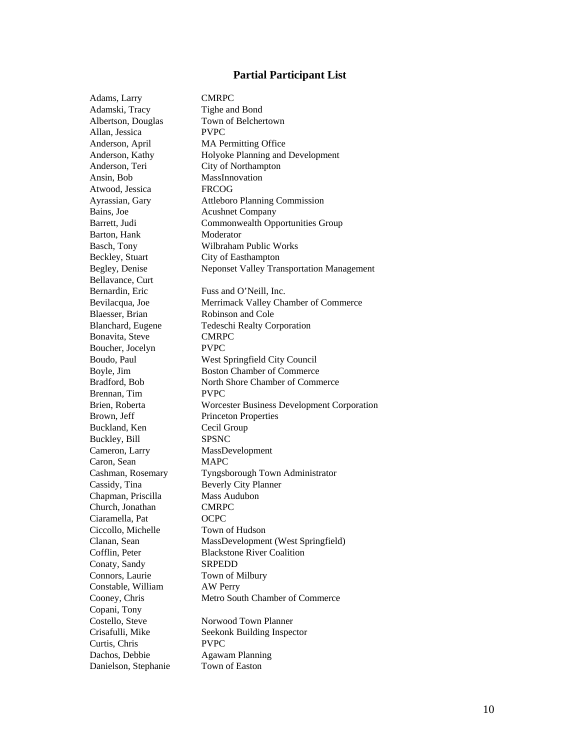#### Partial Participant List

| Adams, Larry         | <b>CMRPC</b>                                     |
|----------------------|--------------------------------------------------|
| Adamski, Tracy       | Tighe and Bond                                   |
| Albertson, Douglas   | Town of Belchertown                              |
| Allan, Jessica       | <b>PVPC</b>                                      |
| Anderson, April      | <b>MA Permitting Office</b>                      |
| Anderson, Kathy      | Holyoke Planning and Development                 |
| Anderson, Teri       | City of Northampton                              |
| Ansin, Bob           | MassInnovation                                   |
| Atwood, Jessica      | <b>FRCOG</b>                                     |
| Ayrassian, Gary      | <b>Attleboro Planning Commission</b>             |
| Bains, Joe           | <b>Acushnet Company</b>                          |
| Barrett, Judi        | Commonwealth Opportunities Group                 |
| Barton, Hank         | Moderator                                        |
| Basch, Tony          | Wilbraham Public Works                           |
| Beckley, Stuart      | City of Easthampton                              |
| Begley, Denise       | <b>Neponset Valley Transportation Management</b> |
| Bellavance, Curt     |                                                  |
| Bernardin, Eric      | Fuss and O'Neill, Inc.                           |
| Bevilacqua, Joe      | Merrimack Valley Chamber of Commerce             |
| Blaesser, Brian      | Robinson and Cole                                |
| Blanchard, Eugene    | <b>Tedeschi Realty Corporation</b>               |
| Bonavita, Steve      | <b>CMRPC</b>                                     |
| Boucher, Jocelyn     | <b>PVPC</b>                                      |
| Boudo, Paul          | West Springfield City Council                    |
| Boyle, Jim           | <b>Boston Chamber of Commerce</b>                |
| Bradford, Bob        | North Shore Chamber of Commerce                  |
| Brennan, Tim         | <b>PVPC</b>                                      |
| Brien, Roberta       | Worcester Business Development Corporation       |
| Brown, Jeff          | <b>Princeton Properties</b>                      |
| Buckland, Ken        | Cecil Group                                      |
| Buckley, Bill        | <b>SPSNC</b>                                     |
| Cameron, Larry       | MassDevelopment                                  |
| Caron, Sean          | <b>MAPC</b>                                      |
| Cashman, Rosemary    | Tyngsborough Town Administrator                  |
| Cassidy, Tina        | <b>Beverly City Planner</b>                      |
| Chapman, Priscilla   | Mass Audubon                                     |
| Church, Jonathan     | <b>CMRPC</b>                                     |
| Ciaramella, Pat      | OCPC                                             |
| Ciccollo, Michelle   | Town of Hudson                                   |
| Clanan, Sean         | MassDevelopment (West Springfield)               |
| Cofflin, Peter       | <b>Blackstone River Coalition</b>                |
| Conaty, Sandy        | <b>SRPEDD</b>                                    |
| Connors, Laurie      | Town of Milbury                                  |
| Constable, William   | AW Perry                                         |
| Cooney, Chris        | Metro South Chamber of Commerce                  |
| Copani, Tony         |                                                  |
| Costello, Steve      | Norwood Town Planner                             |
| Crisafulli, Mike     | Seekonk Building Inspector                       |
| Curtis, Chris        | <b>PVPC</b>                                      |
| Dachos, Debbie       | <b>Agawam Planning</b>                           |
| Danielson, Stephanie | Town of Easton                                   |
|                      |                                                  |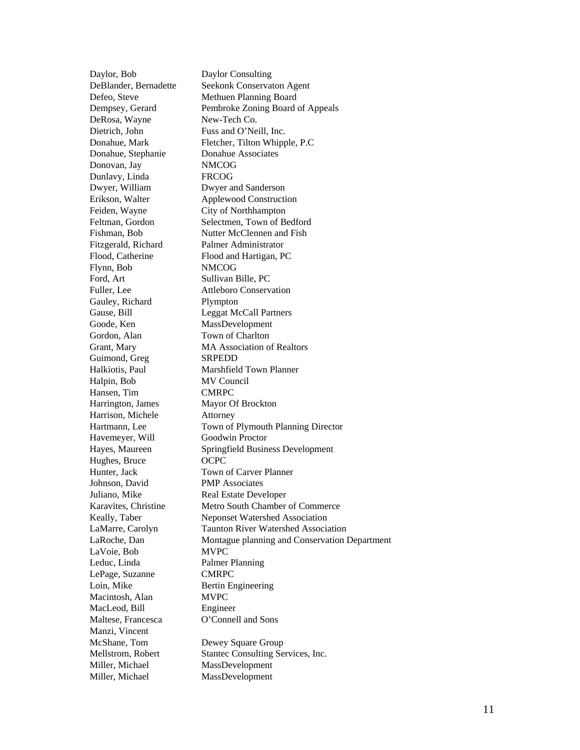Day lor, B ob Day lor C onsul t ing DeBlander, Bernadett e Seekonk Conservaton Agent Defeo, Steve Methuen Planning Board Dempsey , Ger ard Pembroke Zo n ing B oard o f Appeals DeRosa, Way n e New-Tech Co. D ietrich, John Fuss and O ' N eill, Inc. Donahu e, Mark Fletcher, Tilton Whipple, P.C Donahue, St e Donahue Associates Do novan, Jay NM C OG D u n lavy, Linda FRCO **FRCOG** Dwyer, William d erso n Erikson, Walt er Applewood Construction Feiden, Wayne f Northha mpto n Feltman, Gor don Selectm en, Town o f B edfor d Fishm an, B ob Nutter McClennen and Fish Fitzg erald, Richard Pal mer Ad m i n istrator Flood, Catheri ne Flood a nd Hart i gan, PC Fl ynn, B ob NM C OG Ford, Art Sullivan Bille, PC Fuller, Lee oro Con serv ation Gauley, R i c Plympton Gause, Bill se, Bill Leggat McCall Partners Goode, Ken MassDevelopment Gordon, Ala n Town of Charlton Grant, Mary MA Association of Realtors Guimond, Gre g SRPED D Halkiotis, Pau l Marshfield Town Plann er Halpin, B o **MV Council** Han sen, Tim CMRPC H arring ton, James Mayo r O f B rock ton Harrison, Michele Attorney Hart m ann, Le e Town of Plymouth Planning Director Hav e m eyer, Will Goodwi Goodwin Proctor H ayes, Mau reen Sp r ing field B usin ess D evelopment Hughes, Bruce O CPC Hunter, Jac k Town of Carver Planner Joh n s on, David PMP **Associates** Juliano, Mik e Real Estate Dev elop er Karavites, Christine Metro South Chamber of Commerce Keally, Tab er Meponset Watershed Association LaMarre, Carol yn Tau n t on R iver Wat ershed A s s ociat ion LaR oche , Dan Montague planning and Conservation Department LaVoie, Bob MVPC Leduc, Linda Palmer Planning LePag e, Suzanne CMRPC Loi n, M ike Bertin Engineering Macintosh, Alan MVPC MacLeod, Bill i neer Maltese, Francesca onnell and Son s Manzi, Vincent McShane, To Dewey Square Group M e l l s t rom, Robert Stantec C onsulting Services, Inc. Miller, Michael MassDevelopment Miller, Michael MassDevelopment